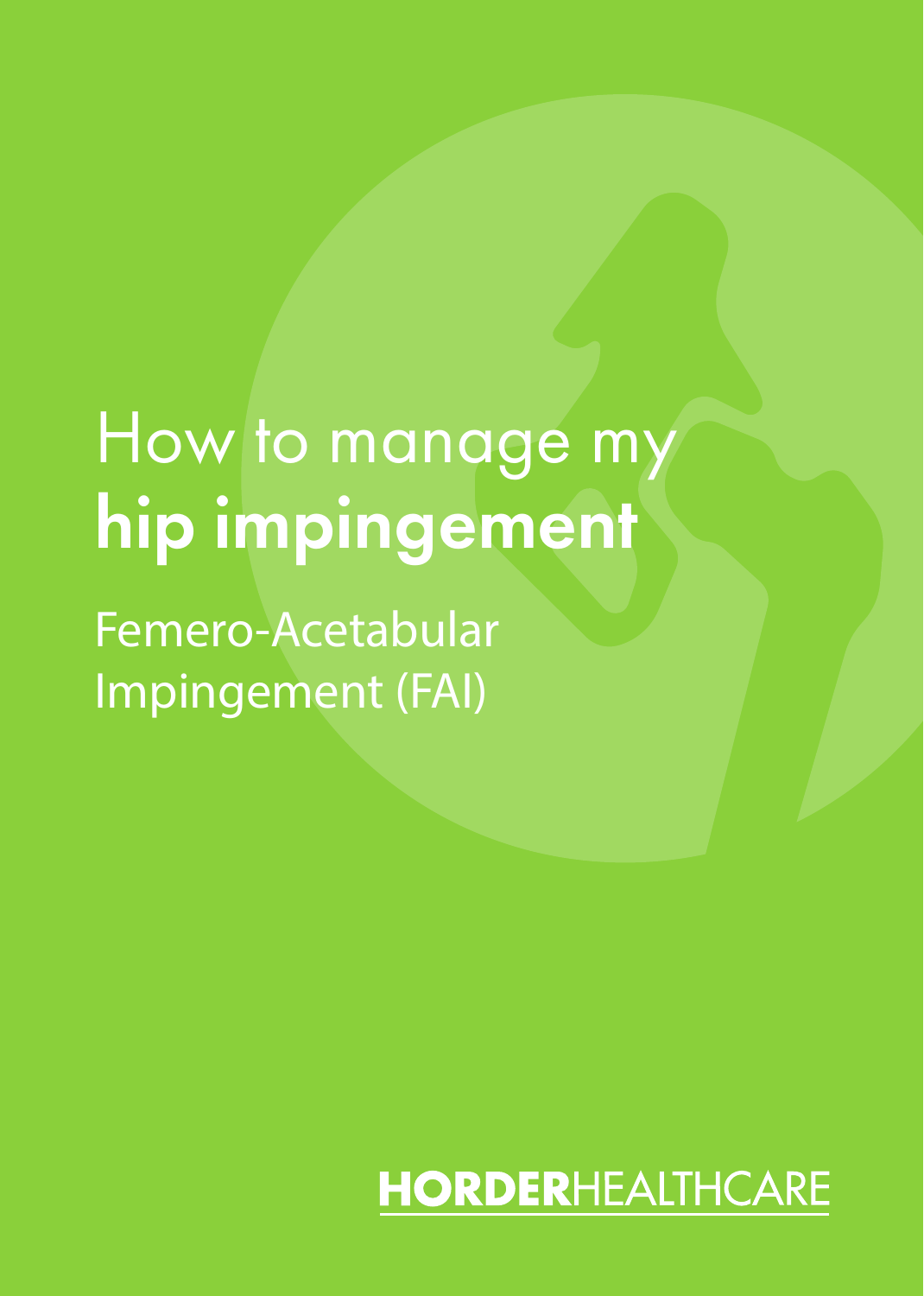# How to manage my hip impingement

Femero-Acetabular Impingement (FAI)

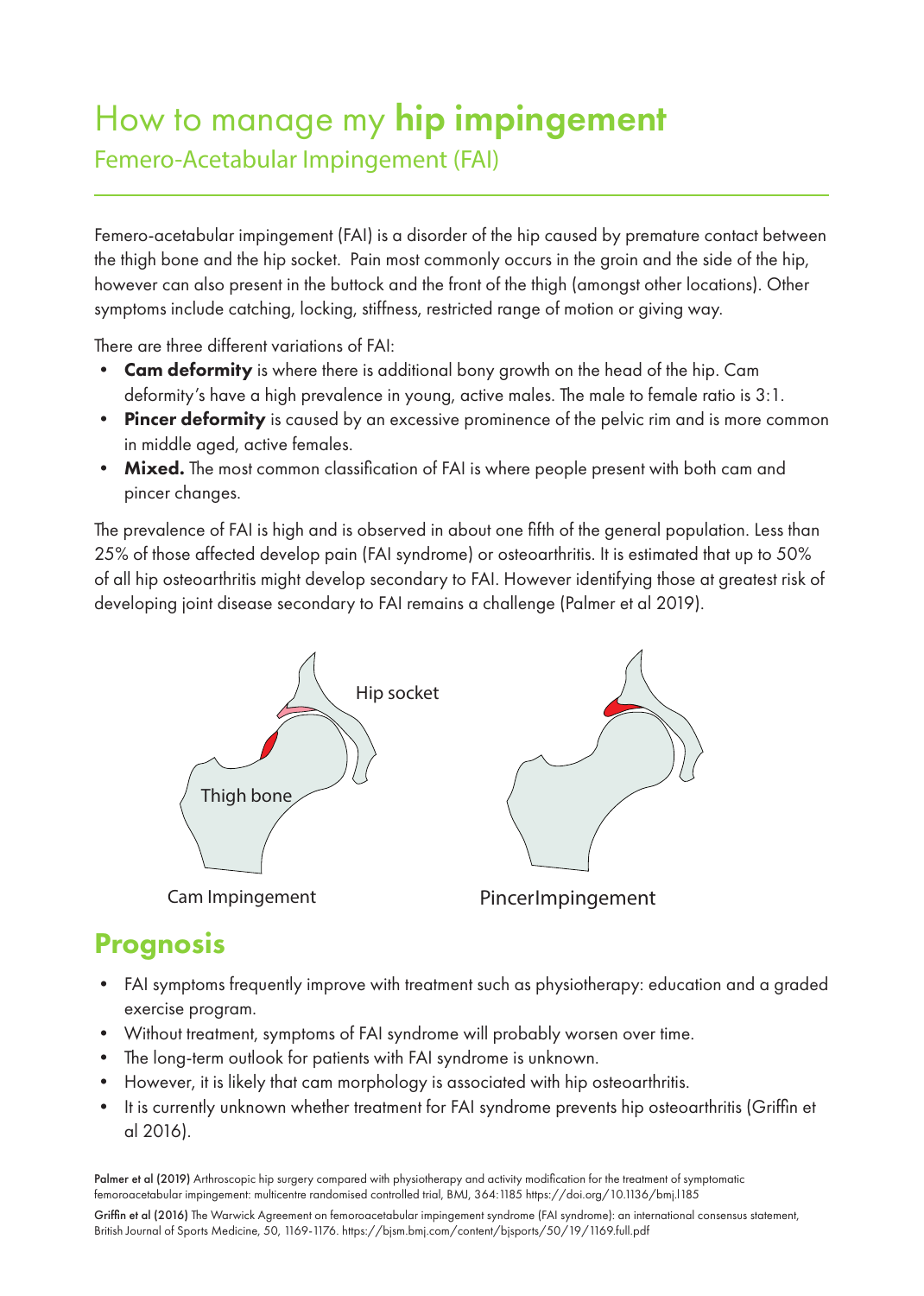## How to manage my hip impingement Femero-Acetabular Impingement (FAI)

Femero-acetabular impingement (FAI) is a disorder of the hip caused by premature contact between the thigh bone and the hip socket. Pain most commonly occurs in the groin and the side of the hip, however can also present in the buttock and the front of the thigh (amongst other locations). Other symptoms include catching, locking, stiffness, restricted range of motion or giving way.

There are three different variations of FAI:

- Cam deformity is where there is additional bony growth on the head of the hip. Cam deformity's have a high prevalence in young, active males. The male to female ratio is 3:1.
- Pincer deformity is caused by an excessive prominence of the pelvic rim and is more common in middle aged, active females.
- Mixed. The most common classification of FAI is where people present with both cam and pincer changes.

The prevalence of FAI is high and is observed in about one fifth of the general population. Less than 25% of those affected develop pain (FAI syndrome) or osteoarthritis. It is estimated that up to 50% of all hip osteoarthritis might develop secondary to FAI. However identifying those at greatest risk of developing joint disease secondary to FAI remains a challenge (Palmer et al 2019).



## Prognosis

- FAI symptoms frequently improve with treatment such as physiotherapy: education and a graded exercise program.
- Without treatment, symptoms of FAI syndrome will probably worsen over time.
- The long-term outlook for patients with FAI syndrome is unknown.
- However, it is likely that cam morphology is associated with hip osteoarthritis.
- It is currently unknown whether treatment for FAI syndrome prevents hip osteoarthritis (Griffin et al 2016).

Palmer et al (2019) Arthroscopic hip surgery compared with physiotherapy and activity modification for the treatment of symptomatic femoroacetabular impingement: multicentre randomised controlled trial, BMJ, 364:1185 https://doi.org/10.1136/bmj.l185

Griffin et al (2016) The Warwick Agreement on femoroacetabular impingement syndrome (FAI syndrome): an international consensus statement, British Journal of Sports Medicine, 50, 1169-1176. https://bjsm.bmj.com/content/bjsports/50/19/1169.full.pdf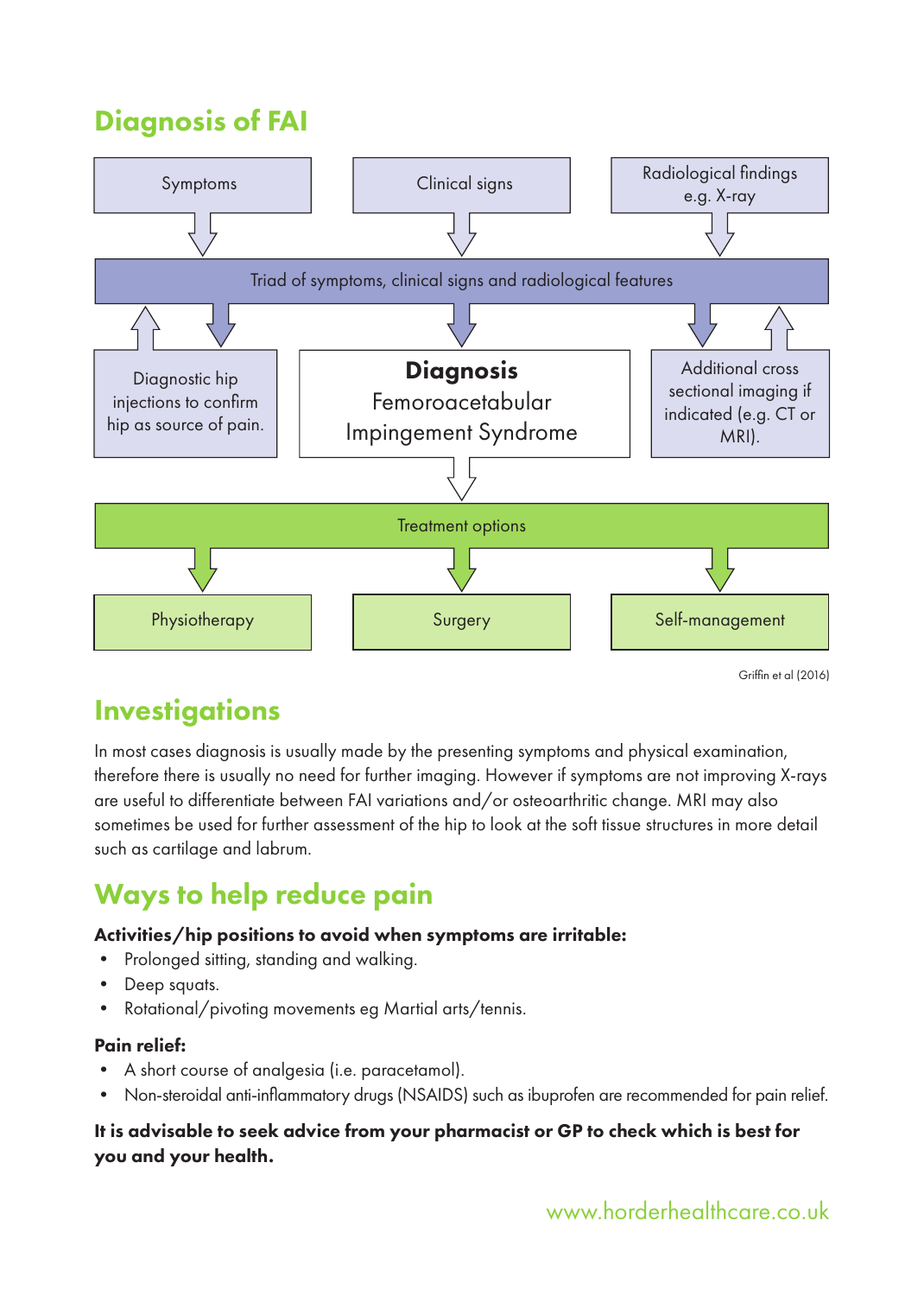## Diagnosis of FAI



Griffin et al (2016)

### **Investigations**

In most cases diagnosis is usually made by the presenting symptoms and physical examination, therefore there is usually no need for further imaging. However if symptoms are not improving X-rays are useful to differentiate between FAI variations and/or osteoarthritic change. MRI may also sometimes be used for further assessment of the hip to look at the soft tissue structures in more detail such as cartilage and labrum.

## Ways to help reduce pain

#### Activities/hip positions to avoid when symptoms are irritable:

- Prolonged sitting, standing and walking.
- Deep squats.
- Rotational/pivoting movements eg Martial arts/tennis.

#### Pain relief:

- A short course of analgesia (i.e. paracetamol).
- Non-steroidal anti-inflammatory drugs (NSAIDS) such as ibuprofen are recommended for pain relief.

#### It is advisable to seek advice from your pharmacist or GP to check which is best for you and your health.